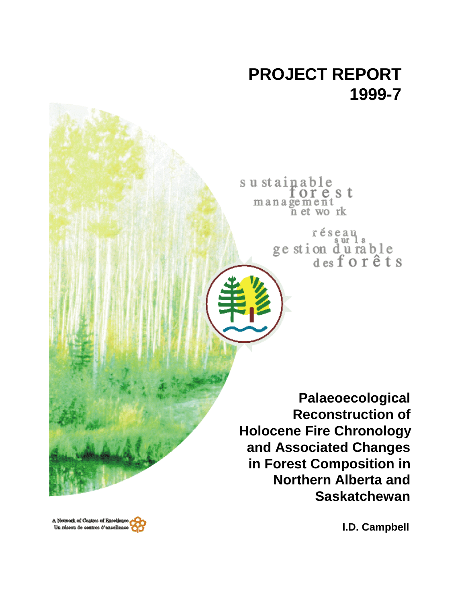# **PROJECT REPORT 1999-7**

sustainable<br>forest management<br>n et work

réseau<br>ge stion d'u rable<br>des forêts

**Palaeoecological Reconstruction of Holocene Fire Chronology and Associated Changes in Forest Composition in Northern Alberta and Saskatchewan**

**I.D. Campbell**

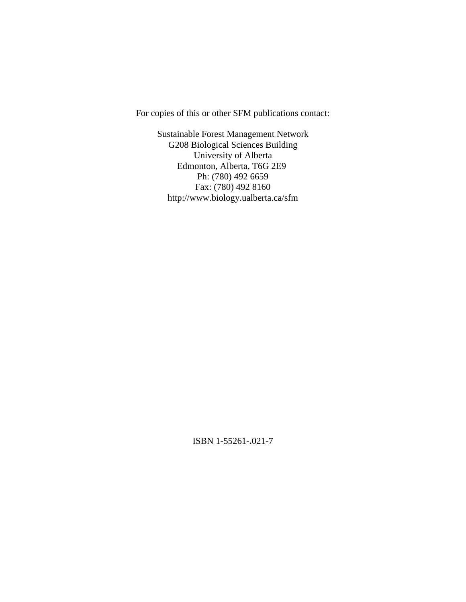For copies of this or other SFM publications contact:

Sustainable Forest Management Network G208 Biological Sciences Building University of Alberta Edmonton, Alberta, T6G 2E9 Ph: (780) 492 6659 Fax: (780) 492 8160 http://www.biology.ualberta.ca/sfm

ISBN 1-55261-**.**021-7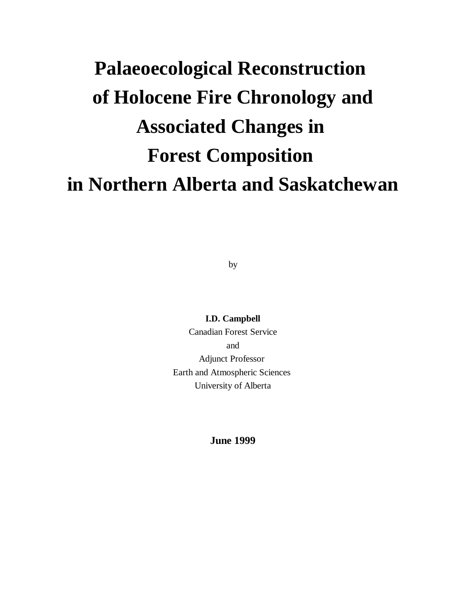# **Palaeoecological Reconstruction of Holocene Fire Chronology and Associated Changes in Forest Composition in Northern Alberta and Saskatchewan**

by

**I.D. Campbell** Canadian Forest Service and Adjunct Professor Earth and Atmospheric Sciences University of Alberta

**June 1999**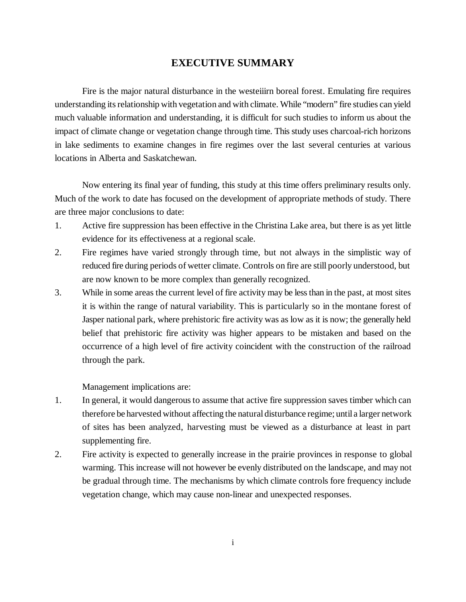# **EXECUTIVE SUMMARY**

Fire is the major natural disturbance in the westeiiirn boreal forest. Emulating fire requires understanding its relationship with vegetation and with climate. While "modern" fire studies can yield much valuable information and understanding, it is difficult for such studies to inform us about the impact of climate change or vegetation change through time. This study uses charcoal-rich horizons in lake sediments to examine changes in fire regimes over the last several centuries at various locations in Alberta and Saskatchewan.

Now entering its final year of funding, this study at this time offers preliminary results only. Much of the work to date has focused on the development of appropriate methods of study. There are three major conclusions to date:

- 1. Active fire suppression has been effective in the Christina Lake area, but there is as yet little evidence for its effectiveness at a regional scale.
- 2. Fire regimes have varied strongly through time, but not always in the simplistic way of reduced fire during periods of wetter climate. Controls on fire are still poorly understood, but are now known to be more complex than generally recognized.
- 3. While in some areas the current level of fire activity may be less than in the past, at most sites it is within the range of natural variability. This is particularly so in the montane forest of Jasper national park, where prehistoric fire activity was as low as it is now; the generally held belief that prehistoric fire activity was higher appears to be mistaken and based on the occurrence of a high level of fire activity coincident with the construction of the railroad through the park.

Management implications are:

- 1. In general, it would dangerous to assume that active fire suppression saves timber which can therefore be harvested without affecting the natural disturbance regime; until a larger network of sites has been analyzed, harvesting must be viewed as a disturbance at least in part supplementing fire.
- 2. Fire activity is expected to generally increase in the prairie provinces in response to global warming. This increase will not however be evenly distributed on the landscape, and may not be gradual through time. The mechanisms by which climate controls fore frequency include vegetation change, which may cause non-linear and unexpected responses.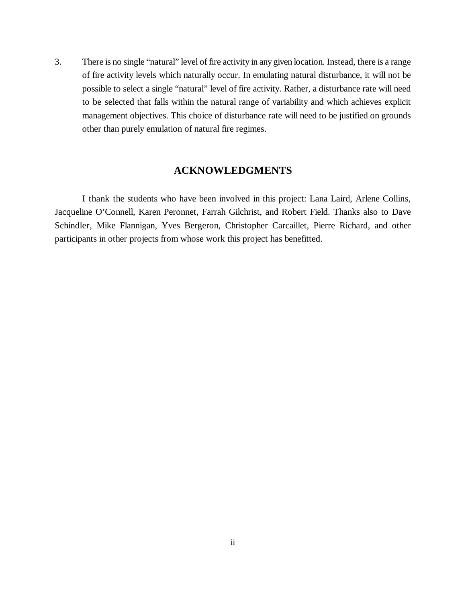3. There is no single "natural" level of fire activity in any given location. Instead, there is a range of fire activity levels which naturally occur. In emulating natural disturbance, it will not be possible to select a single "natural" level of fire activity. Rather, a disturbance rate will need to be selected that falls within the natural range of variability and which achieves explicit management objectives. This choice of disturbance rate will need to be justified on grounds other than purely emulation of natural fire regimes.

# **ACKNOWLEDGMENTS**

I thank the students who have been involved in this project: Lana Laird, Arlene Collins, Jacqueline O'Connell, Karen Peronnet, Farrah Gilchrist, and Robert Field. Thanks also to Dave Schindler, Mike Flannigan, Yves Bergeron, Christopher Carcaillet, Pierre Richard, and other participants in other projects from whose work this project has benefitted.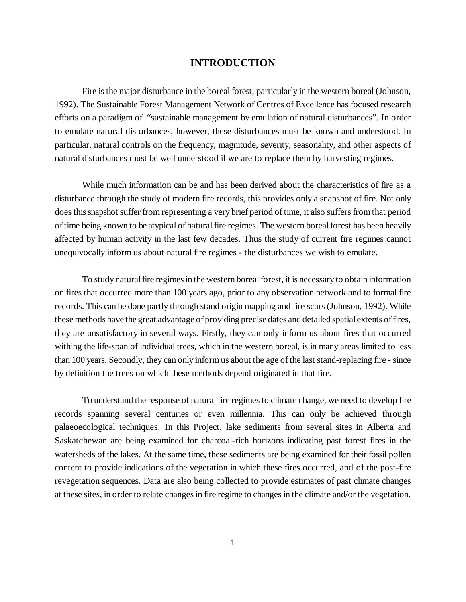# **INTRODUCTION**

Fire is the major disturbance in the boreal forest, particularly in the western boreal (Johnson, 1992). The Sustainable Forest Management Network of Centres of Excellence has focused research efforts on a paradigm of "sustainable management by emulation of natural disturbances". In order to emulate natural disturbances, however, these disturbances must be known and understood. In particular, natural controls on the frequency, magnitude, severity, seasonality, and other aspects of natural disturbances must be well understood if we are to replace them by harvesting regimes.

While much information can be and has been derived about the characteristics of fire as a disturbance through the study of modern fire records, this provides only a snapshot of fire. Not only does this snapshot suffer from representing a very brief period of time, it also suffers from that period of time being known to be atypical of natural fire regimes. The western boreal forest has been heavily affected by human activity in the last few decades. Thus the study of current fire regimes cannot unequivocally inform us about natural fire regimes - the disturbances we wish to emulate.

To study natural fire regimes in the western boreal forest, it is necessary to obtain information on fires that occurred more than 100 years ago, prior to any observation network and to formal fire records. This can be done partly through stand origin mapping and fire scars (Johnson, 1992). While these methods have the great advantage of providing precise dates and detailed spatial extents of fires, they are unsatisfactory in several ways. Firstly, they can only inform us about fires that occurred withing the life-span of individual trees, which in the western boreal, is in many areas limited to less than 100 years. Secondly, they can only inform us about the age of the last stand-replacing fire - since by definition the trees on which these methods depend originated in that fire.

To understand the response of natural fire regimes to climate change, we need to develop fire records spanning several centuries or even millennia. This can only be achieved through palaeoecological techniques. In this Project, lake sediments from several sites in Alberta and Saskatchewan are being examined for charcoal-rich horizons indicating past forest fires in the watersheds of the lakes. At the same time, these sediments are being examined for their fossil pollen content to provide indications of the vegetation in which these fires occurred, and of the post-fire revegetation sequences. Data are also being collected to provide estimates of past climate changes at these sites, in order to relate changes in fire regime to changes in the climate and/or the vegetation.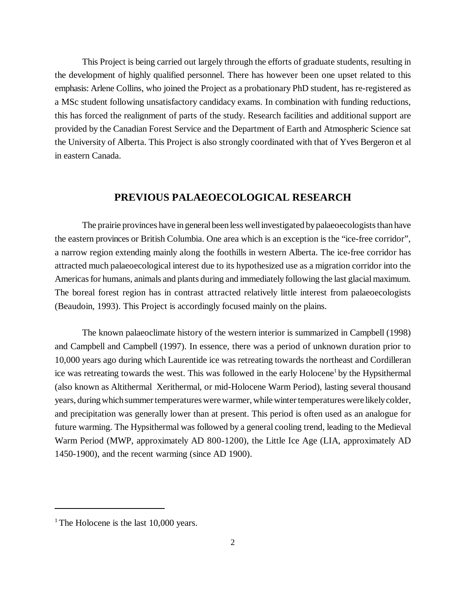This Project is being carried out largely through the efforts of graduate students, resulting in the development of highly qualified personnel. There has however been one upset related to this emphasis: Arlene Collins, who joined the Project as a probationary PhD student, has re-registered as a MSc student following unsatisfactory candidacy exams. In combination with funding reductions, this has forced the realignment of parts of the study. Research facilities and additional support are provided by the Canadian Forest Service and the Department of Earth and Atmospheric Science sat the University of Alberta. This Project is also strongly coordinated with that of Yves Bergeron et al in eastern Canada.

# **PREVIOUS PALAEOECOLOGICAL RESEARCH**

The prairie provinces have in general been less well investigated by palaeoecologists than have the eastern provinces or British Columbia. One area which is an exception is the "ice-free corridor", a narrow region extending mainly along the foothills in western Alberta. The ice-free corridor has attracted much palaeoecological interest due to its hypothesized use as a migration corridor into the Americas for humans, animals and plants during and immediately following the last glacial maximum. The boreal forest region has in contrast attracted relatively little interest from palaeoecologists (Beaudoin, 1993). This Project is accordingly focused mainly on the plains.

The known palaeoclimate history of the western interior is summarized in Campbell (1998) and Campbell and Campbell (1997). In essence, there was a period of unknown duration prior to 10,000 years ago during which Laurentide ice was retreating towards the northeast and Cordilleran ice was retreating towards the west. This was followed in the early Holocene<sup>1</sup> by the Hypsithermal (also known as Altithermal Xerithermal, or mid-Holocene Warm Period), lasting several thousand years, during which summer temperatures were warmer, while winter temperatures were likely colder, and precipitation was generally lower than at present. This period is often used as an analogue for future warming. The Hypsithermal was followed by a general cooling trend, leading to the Medieval Warm Period (MWP, approximately AD 800-1200), the Little Ice Age (LIA, approximately AD 1450-1900), and the recent warming (since AD 1900).

<sup>&</sup>lt;sup>1</sup> The Holocene is the last  $10,000$  years.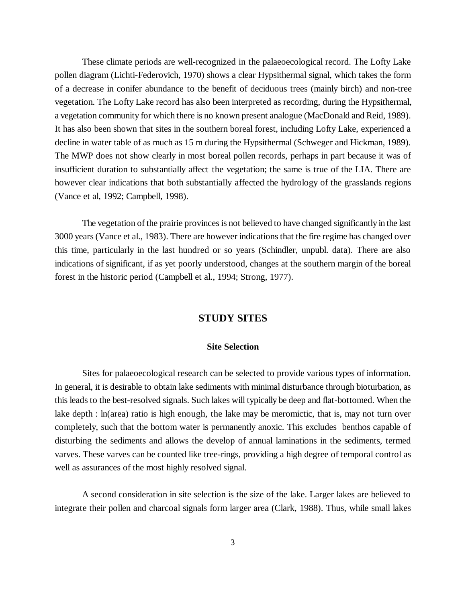These climate periods are well-recognized in the palaeoecological record. The Lofty Lake pollen diagram (Lichti-Federovich, 1970) shows a clear Hypsithermal signal, which takes the form of a decrease in conifer abundance to the benefit of deciduous trees (mainly birch) and non-tree vegetation. The Lofty Lake record has also been interpreted as recording, during the Hypsithermal, a vegetation community for which there is no known present analogue (MacDonald and Reid, 1989). It has also been shown that sites in the southern boreal forest, including Lofty Lake, experienced a decline in water table of as much as 15 m during the Hypsithermal (Schweger and Hickman, 1989). The MWP does not show clearly in most boreal pollen records, perhaps in part because it was of insufficient duration to substantially affect the vegetation; the same is true of the LIA. There are however clear indications that both substantially affected the hydrology of the grasslands regions (Vance et al, 1992; Campbell, 1998).

The vegetation of the prairie provinces is not believed to have changed significantly in the last 3000 years (Vance et al., 1983). There are however indications that the fire regime has changed over this time, particularly in the last hundred or so years (Schindler, unpubl. data). There are also indications of significant, if as yet poorly understood, changes at the southern margin of the boreal forest in the historic period (Campbell et al., 1994; Strong, 1977).

# **STUDY SITES**

#### **Site Selection**

Sites for palaeoecological research can be selected to provide various types of information. In general, it is desirable to obtain lake sediments with minimal disturbance through bioturbation, as this leads to the best-resolved signals. Such lakes will typically be deep and flat-bottomed. When the lake depth : ln(area) ratio is high enough, the lake may be meromictic, that is, may not turn over completely, such that the bottom water is permanently anoxic. This excludes benthos capable of disturbing the sediments and allows the develop of annual laminations in the sediments, termed varves. These varves can be counted like tree-rings, providing a high degree of temporal control as well as assurances of the most highly resolved signal.

A second consideration in site selection is the size of the lake. Larger lakes are believed to integrate their pollen and charcoal signals form larger area (Clark, 1988). Thus, while small lakes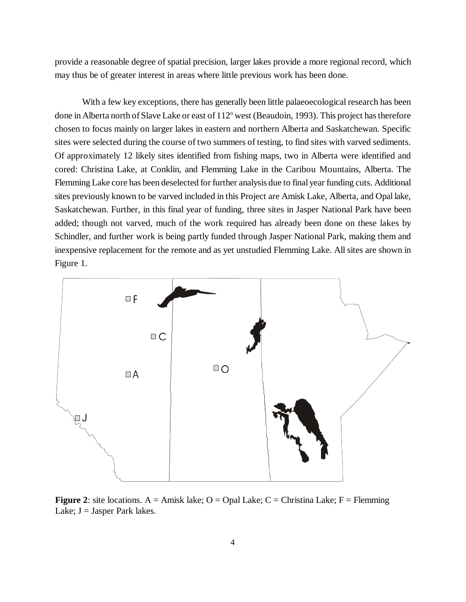provide a reasonable degree of spatial precision, larger lakes provide a more regional record, which may thus be of greater interest in areas where little previous work has been done.

With a few key exceptions, there has generally been little palaeoecological research has been done in Alberta north of Slave Lake or east of 112° west (Beaudoin, 1993). This project has therefore chosen to focus mainly on larger lakes in eastern and northern Alberta and Saskatchewan. Specific sites were selected during the course of two summers of testing, to find sites with varved sediments. Of approximately 12 likely sites identified from fishing maps, two in Alberta were identified and cored: Christina Lake, at Conklin, and Flemming Lake in the Caribou Mountains, Alberta. The Flemming Lake core has been deselected for further analysis due to final year funding cuts. Additional sites previously known to be varved included in this Project are Amisk Lake, Alberta, and Opal lake, Saskatchewan. Further, in this final year of funding, three sites in Jasper National Park have been added; though not varved, much of the work required has already been done on these lakes by Schindler, and further work is being partly funded through Jasper National Park, making them and inexpensive replacement for the remote and as yet unstudied Flemming Lake. All sites are shown in Figure 1.



**Figure 2:** site locations.  $A = \text{Amisk lake}$ ;  $O = \text{Opal Lake}$ ;  $C = \text{Christian Lake}$ ;  $F = \text{Flemming}$ Lake;  $J =$  Jasper Park lakes.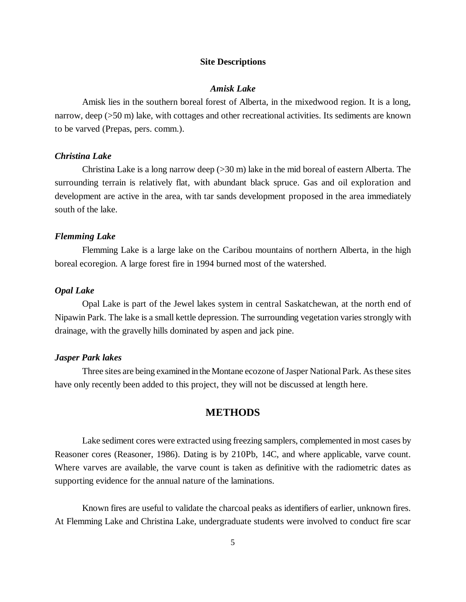#### **Site Descriptions**

#### *Amisk Lake*

Amisk lies in the southern boreal forest of Alberta, in the mixedwood region. It is a long, narrow, deep (>50 m) lake, with cottages and other recreational activities. Its sediments are known to be varved (Prepas, pers. comm.).

#### *Christina Lake*

Christina Lake is a long narrow deep  $(>30 \text{ m})$  lake in the mid boreal of eastern Alberta. The surrounding terrain is relatively flat, with abundant black spruce. Gas and oil exploration and development are active in the area, with tar sands development proposed in the area immediately south of the lake.

#### *Flemming Lake*

Flemming Lake is a large lake on the Caribou mountains of northern Alberta, in the high boreal ecoregion. A large forest fire in 1994 burned most of the watershed.

#### *Opal Lake*

Opal Lake is part of the Jewel lakes system in central Saskatchewan, at the north end of Nipawin Park. The lake is a small kettle depression. The surrounding vegetation varies strongly with drainage, with the gravelly hills dominated by aspen and jack pine.

#### *Jasper Park lakes*

Three sites are being examined in the Montane ecozone of Jasper National Park. As these sites have only recently been added to this project, they will not be discussed at length here.

# **METHODS**

Lake sediment cores were extracted using freezing samplers, complemented in most cases by Reasoner cores (Reasoner, 1986). Dating is by 210Pb, 14C, and where applicable, varve count. Where varves are available, the varve count is taken as definitive with the radiometric dates as supporting evidence for the annual nature of the laminations.

Known fires are useful to validate the charcoal peaks as identifiers of earlier, unknown fires. At Flemming Lake and Christina Lake, undergraduate students were involved to conduct fire scar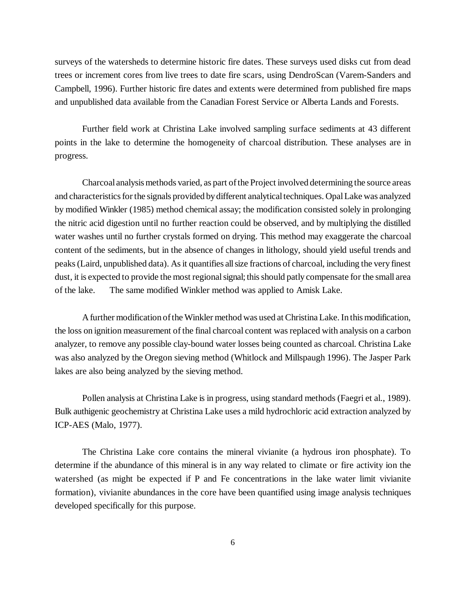surveys of the watersheds to determine historic fire dates. These surveys used disks cut from dead trees or increment cores from live trees to date fire scars, using DendroScan (Varem-Sanders and Campbell, 1996). Further historic fire dates and extents were determined from published fire maps and unpublished data available from the Canadian Forest Service or Alberta Lands and Forests.

Further field work at Christina Lake involved sampling surface sediments at 43 different points in the lake to determine the homogeneity of charcoal distribution. These analyses are in progress.

Charcoal analysis methods varied, as part of the Project involved determining the source areas and characteristics for the signals provided by different analytical techniques. Opal Lake was analyzed by modified Winkler (1985) method chemical assay; the modification consisted solely in prolonging the nitric acid digestion until no further reaction could be observed, and by multiplying the distilled water washes until no further crystals formed on drying. This method may exaggerate the charcoal content of the sediments, but in the absence of changes in lithology, should yield useful trends and peaks (Laird, unpublished data). As it quantifies all size fractions of charcoal, including the very finest dust, it is expected to provide the most regional signal; this should patly compensate for the small area of the lake. The same modified Winkler method was applied to Amisk Lake.

A further modification of the Winkler method was used at Christina Lake. In this modification, the loss on ignition measurement of the final charcoal content was replaced with analysis on a carbon analyzer, to remove any possible clay-bound water losses being counted as charcoal. Christina Lake was also analyzed by the Oregon sieving method (Whitlock and Millspaugh 1996). The Jasper Park lakes are also being analyzed by the sieving method.

Pollen analysis at Christina Lake is in progress, using standard methods (Faegri et al., 1989). Bulk authigenic geochemistry at Christina Lake uses a mild hydrochloric acid extraction analyzed by ICP-AES (Malo, 1977).

The Christina Lake core contains the mineral vivianite (a hydrous iron phosphate). To determine if the abundance of this mineral is in any way related to climate or fire activity ion the watershed (as might be expected if P and Fe concentrations in the lake water limit vivianite formation), vivianite abundances in the core have been quantified using image analysis techniques developed specifically for this purpose.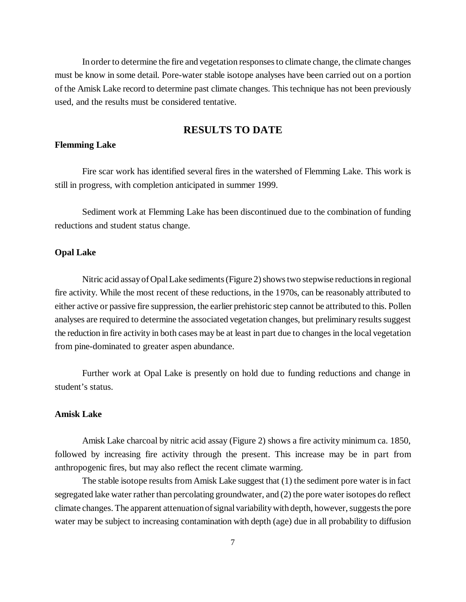In order to determine the fire and vegetation responses to climate change, the climate changes must be know in some detail. Pore-water stable isotope analyses have been carried out on a portion of the Amisk Lake record to determine past climate changes. This technique has not been previously used, and the results must be considered tentative.

# **RESULTS TO DATE**

# **Flemming Lake**

Fire scar work has identified several fires in the watershed of Flemming Lake. This work is still in progress, with completion anticipated in summer 1999.

Sediment work at Flemming Lake has been discontinued due to the combination of funding reductions and student status change.

# **Opal Lake**

Nitric acid assay of Opal Lake sediments (Figure 2) shows two stepwise reductions in regional fire activity. While the most recent of these reductions, in the 1970s, can be reasonably attributed to either active or passive fire suppression, the earlier prehistoric step cannot be attributed to this. Pollen analyses are required to determine the associated vegetation changes, but preliminary results suggest the reduction in fire activity in both cases may be at least in part due to changes in the local vegetation from pine-dominated to greater aspen abundance.

Further work at Opal Lake is presently on hold due to funding reductions and change in student's status.

## **Amisk Lake**

Amisk Lake charcoal by nitric acid assay (Figure 2) shows a fire activity minimum ca. 1850, followed by increasing fire activity through the present. This increase may be in part from anthropogenic fires, but may also reflect the recent climate warming.

The stable isotope results from Amisk Lake suggest that (1) the sediment pore water is in fact segregated lake water rather than percolating groundwater, and (2) the pore water isotopes do reflect climate changes. The apparent attenuation of signal variability with depth, however, suggests the pore water may be subject to increasing contamination with depth (age) due in all probability to diffusion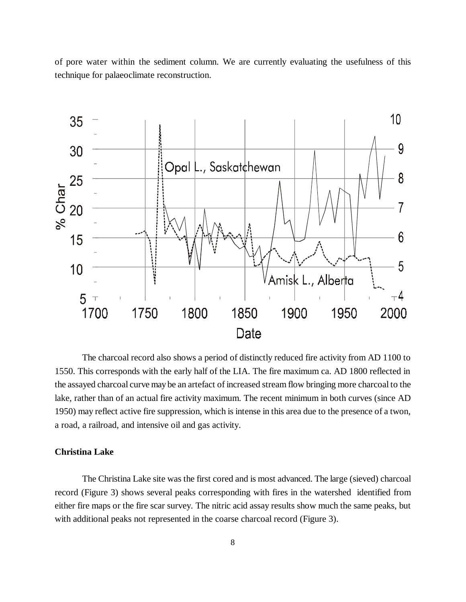of pore water within the sediment column. We are currently evaluating the usefulness of this technique for palaeoclimate reconstruction.



The charcoal record also shows a period of distinctly reduced fire activity from AD 1100 to 1550. This corresponds with the early half of the LIA. The fire maximum ca. AD 1800 reflected in the assayed charcoal curve may be an artefact of increased stream flow bringing more charcoal to the lake, rather than of an actual fire activity maximum. The recent minimum in both curves (since AD 1950) may reflect active fire suppression, which is intense in this area due to the presence of a twon, a road, a railroad, and intensive oil and gas activity.

# **Christina Lake**

The Christina Lake site was the first cored and is most advanced. The large (sieved) charcoal record (Figure 3) shows several peaks corresponding with fires in the watershed identified from either fire maps or the fire scar survey. The nitric acid assay results show much the same peaks, but with additional peaks not represented in the coarse charcoal record (Figure 3).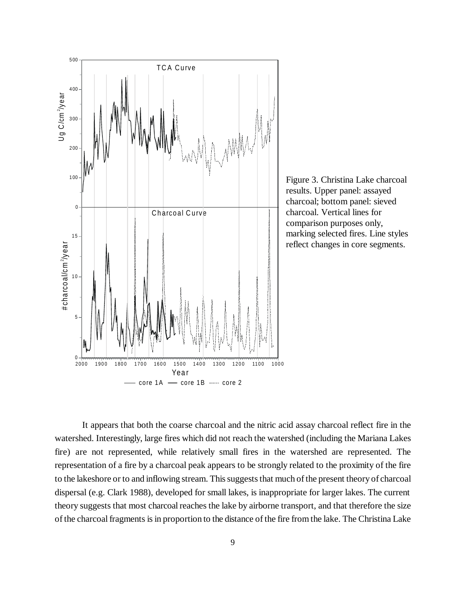



It appears that both the coarse charcoal and the nitric acid assay charcoal reflect fire in the watershed. Interestingly, large fires which did not reach the watershed (including the Mariana Lakes fire) are not represented, while relatively small fires in the watershed are represented. The representation of a fire by a charcoal peak appears to be strongly related to the proximity of the fire to the lakeshore or to and inflowing stream. This suggests that much of the present theory of charcoal dispersal (e.g. Clark 1988), developed for small lakes, is inappropriate for larger lakes. The current theory suggests that most charcoal reaches the lake by airborne transport, and that therefore the size of the charcoal fragments is in proportion to the distance of the fire from the lake. The Christina Lake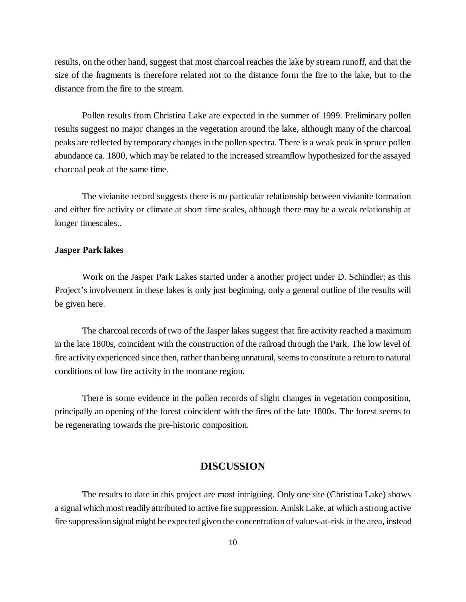results, on the other hand, suggest that most charcoal reaches the lake by stream runoff, and that the size of the fragments is therefore related not to the distance form the fire to the lake, but to the distance from the fire to the stream.

Pollen results from Christina Lake are expected in the summer of 1999. Preliminary pollen results suggest no major changes in the vegetation around the lake, although many of the charcoal peaks are reflected by temporary changes in the pollen spectra. There is a weak peak in spruce pollen abundance ca. 1800, which may be related to the increased streamflow hypothesized for the assayed charcoal peak at the same time.

The vivianite record suggests there is no particular relationship between vivianite formation and either fire activity or climate at short time scales, although there may be a weak relationship at longer timescales..

# **Jasper Park lakes**

Work on the Jasper Park Lakes started under a another project under D. Schindler; as this Project's involvement in these lakes is only just beginning, only a general outline of the results will be given here.

The charcoal records of two of the Jasper lakes suggest that fire activity reached a maximum in the late 1800s, coincident with the construction of the railroad through the Park. The low level of fire activity experienced since then, rather than being unnatural, seems to constitute a return to natural conditions of low fire activity in the montane region.

There is some evidence in the pollen records of slight changes in vegetation composition, principally an opening of the forest coincident with the fires of the late 1800s. The forest seems to be regenerating towards the pre-historic composition.

# **DISCUSSION**

The results to date in this project are most intriguing. Only one site (Christina Lake) shows a signal which most readily attributed to active fire suppression. Amisk Lake, at which a strong active fire suppression signal might be expected given the concentration of values-at-risk in the area, instead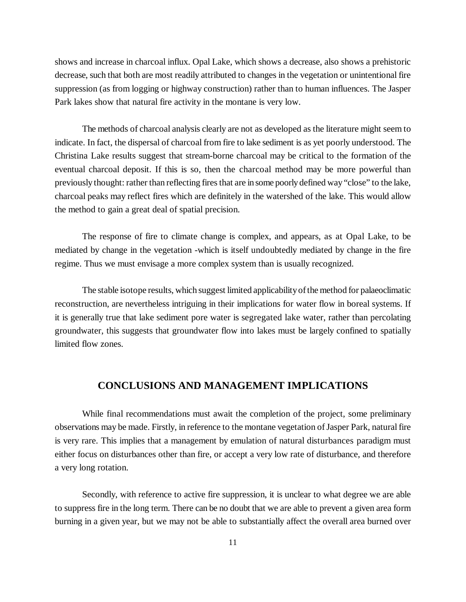shows and increase in charcoal influx. Opal Lake, which shows a decrease, also shows a prehistoric decrease, such that both are most readily attributed to changes in the vegetation or unintentional fire suppression (as from logging or highway construction) rather than to human influences. The Jasper Park lakes show that natural fire activity in the montane is very low.

The methods of charcoal analysis clearly are not as developed as the literature might seem to indicate. In fact, the dispersal of charcoal from fire to lake sediment is as yet poorly understood. The Christina Lake results suggest that stream-borne charcoal may be critical to the formation of the eventual charcoal deposit. If this is so, then the charcoal method may be more powerful than previously thought: rather than reflecting fires that are in some poorly defined way "close" to the lake, charcoal peaks may reflect fires which are definitely in the watershed of the lake. This would allow the method to gain a great deal of spatial precision.

The response of fire to climate change is complex, and appears, as at Opal Lake, to be mediated by change in the vegetation -which is itself undoubtedly mediated by change in the fire regime. Thus we must envisage a more complex system than is usually recognized.

The stable isotope results, which suggest limited applicability of the method for palaeoclimatic reconstruction, are nevertheless intriguing in their implications for water flow in boreal systems. If it is generally true that lake sediment pore water is segregated lake water, rather than percolating groundwater, this suggests that groundwater flow into lakes must be largely confined to spatially limited flow zones.

# **CONCLUSIONS AND MANAGEMENT IMPLICATIONS**

While final recommendations must await the completion of the project, some preliminary observations may be made. Firstly, in reference to the montane vegetation of Jasper Park, natural fire is very rare. This implies that a management by emulation of natural disturbances paradigm must either focus on disturbances other than fire, or accept a very low rate of disturbance, and therefore a very long rotation.

Secondly, with reference to active fire suppression, it is unclear to what degree we are able to suppress fire in the long term. There can be no doubt that we are able to prevent a given area form burning in a given year, but we may not be able to substantially affect the overall area burned over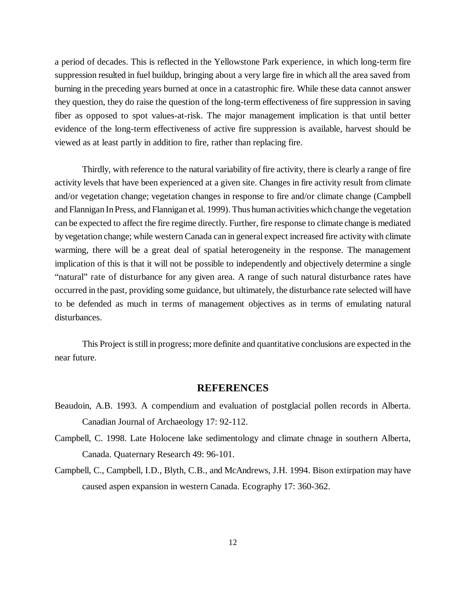a period of decades. This is reflected in the Yellowstone Park experience, in which long-term fire suppression resulted in fuel buildup, bringing about a very large fire in which all the area saved from burning in the preceding years burned at once in a catastrophic fire. While these data cannot answer they question, they do raise the question of the long-term effectiveness of fire suppression in saving fiber as opposed to spot values-at-risk. The major management implication is that until better evidence of the long-term effectiveness of active fire suppression is available, harvest should be viewed as at least partly in addition to fire, rather than replacing fire.

Thirdly, with reference to the natural variability of fire activity, there is clearly a range of fire activity levels that have been experienced at a given site. Changes in fire activity result from climate and/or vegetation change; vegetation changes in response to fire and/or climate change (Campbell and Flannigan In Press, and Flannigan et al. 1999). Thus human activities which change the vegetation can be expected to affect the fire regime directly. Further, fire response to climate change is mediated by vegetation change; while western Canada can in general expect increased fire activity with climate warming, there will be a great deal of spatial heterogeneity in the response. The management implication of this is that it will not be possible to independently and objectively determine a single "natural" rate of disturbance for any given area. A range of such natural disturbance rates have occurred in the past, providing some guidance, but ultimately, the disturbance rate selected will have to be defended as much in terms of management objectives as in terms of emulating natural disturbances.

This Project is still in progress; more definite and quantitative conclusions are expected in the near future.

# **REFERENCES**

- Beaudoin, A.B. 1993. A compendium and evaluation of postglacial pollen records in Alberta. Canadian Journal of Archaeology 17: 92-112.
- Campbell, C. 1998. Late Holocene lake sedimentology and climate chnage in southern Alberta, Canada. Quaternary Research 49: 96-101.
- Campbell, C., Campbell, I.D., Blyth, C.B., and McAndrews, J.H. 1994. Bison extirpation may have caused aspen expansion in western Canada. Ecography 17: 360-362.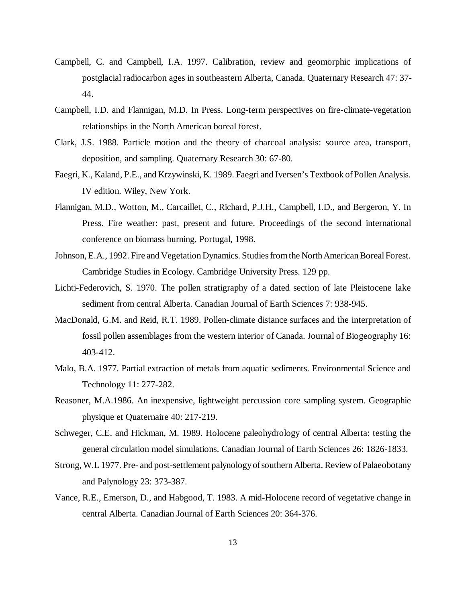- Campbell, C. and Campbell, I.A. 1997. Calibration, review and geomorphic implications of postglacial radiocarbon ages in southeastern Alberta, Canada. Quaternary Research 47: 37- 44.
- Campbell, I.D. and Flannigan, M.D. In Press. Long-term perspectives on fire-climate-vegetation relationships in the North American boreal forest.
- Clark, J.S. 1988. Particle motion and the theory of charcoal analysis: source area, transport, deposition, and sampling. Quaternary Research 30: 67-80.
- Faegri, K., Kaland, P.E., and Krzywinski, K. 1989. Faegri and Iversen's Textbook of Pollen Analysis. IV edition. Wiley, New York.
- Flannigan, M.D., Wotton, M., Carcaillet, C., Richard, P.J.H., Campbell, I.D., and Bergeron, Y. In Press. Fire weather: past, present and future. Proceedings of the second international conference on biomass burning, Portugal, 1998.
- Johnson, E.A., 1992. Fire and Vegetation Dynamics. Studies from the North American Boreal Forest. Cambridge Studies in Ecology. Cambridge University Press. 129 pp.
- Lichti-Federovich, S. 1970. The pollen stratigraphy of a dated section of late Pleistocene lake sediment from central Alberta. Canadian Journal of Earth Sciences 7: 938-945.
- MacDonald, G.M. and Reid, R.T. 1989. Pollen-climate distance surfaces and the interpretation of fossil pollen assemblages from the western interior of Canada. Journal of Biogeography 16: 403-412.
- Malo, B.A. 1977. Partial extraction of metals from aquatic sediments. Environmental Science and Technology 11: 277-282.
- Reasoner, M.A.1986. An inexpensive, lightweight percussion core sampling system. Geographie physique et Quaternaire 40: 217-219.
- Schweger, C.E. and Hickman, M. 1989. Holocene paleohydrology of central Alberta: testing the general circulation model simulations. Canadian Journal of Earth Sciences 26: 1826-1833.
- Strong, W.L 1977. Pre- and post-settlement palynology of southern Alberta. Review of Palaeobotany and Palynology 23: 373-387.
- Vance, R.E., Emerson, D., and Habgood, T. 1983. A mid-Holocene record of vegetative change in central Alberta. Canadian Journal of Earth Sciences 20: 364-376.